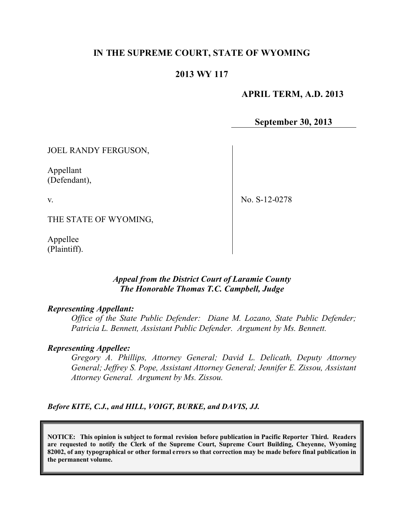# **IN THE SUPREME COURT, STATE OF WYOMING**

## **2013 WY 117**

### **APRIL TERM, A.D. 2013**

**September 30, 2013**

JOEL RANDY FERGUSON,

Appellant (Defendant),

v.

No. S-12-0278

THE STATE OF WYOMING,

Appellee (Plaintiff).

#### *Appeal from the District Court of Laramie County The Honorable Thomas T.C. Campbell, Judge*

#### *Representing Appellant:*

*Office of the State Public Defender: Diane M. Lozano, State Public Defender; Patricia L. Bennett, Assistant Public Defender. Argument by Ms. Bennett.*

#### *Representing Appellee:*

*Gregory A. Phillips, Attorney General; David L. Delicath, Deputy Attorney General; Jeffrey S. Pope, Assistant Attorney General; Jennifer E. Zissou, Assistant Attorney General. Argument by Ms. Zissou.*

*Before KITE, C.J., and HILL, VOIGT, BURKE, and DAVIS, JJ.*

**NOTICE: This opinion is subject to formal revision before publication in Pacific Reporter Third. Readers are requested to notify the Clerk of the Supreme Court, Supreme Court Building, Cheyenne, Wyoming 82002, of any typographical or other formal errors so that correction may be made before final publication in the permanent volume.**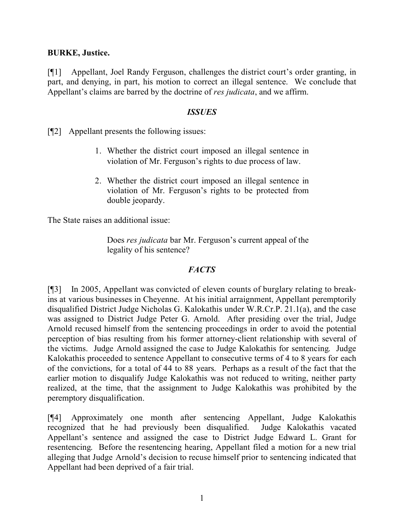## **BURKE, Justice.**

[¶1] Appellant, Joel Randy Ferguson, challenges the district court's order granting, in part, and denying, in part, his motion to correct an illegal sentence. We conclude that Appellant's claims are barred by the doctrine of *res judicata*, and we affirm.

### *ISSUES*

[¶2] Appellant presents the following issues:

- 1. Whether the district court imposed an illegal sentence in violation of Mr. Ferguson's rights to due process of law.
- 2. Whether the district court imposed an illegal sentence in violation of Mr. Ferguson's rights to be protected from double jeopardy.

The State raises an additional issue:

Does *res judicata* bar Mr. Ferguson's current appeal of the legality of his sentence?

# *FACTS*

[¶3] In 2005, Appellant was convicted of eleven counts of burglary relating to breakins at various businesses in Cheyenne. At his initial arraignment, Appellant peremptorily disqualified District Judge Nicholas G. Kalokathis under W.R.Cr.P. 21.1(a), and the case was assigned to District Judge Peter G. Arnold. After presiding over the trial, Judge Arnold recused himself from the sentencing proceedings in order to avoid the potential perception of bias resulting from his former attorney-client relationship with several of the victims. Judge Arnold assigned the case to Judge Kalokathis for sentencing. Judge Kalokathis proceeded to sentence Appellant to consecutive terms of 4 to 8 years for each of the convictions, for a total of 44 to 88 years. Perhaps as a result of the fact that the earlier motion to disqualify Judge Kalokathis was not reduced to writing, neither party realized, at the time, that the assignment to Judge Kalokathis was prohibited by the peremptory disqualification.

[¶4] Approximately one month after sentencing Appellant, Judge Kalokathis recognized that he had previously been disqualified. Judge Kalokathis vacated Appellant's sentence and assigned the case to District Judge Edward L. Grant for resentencing. Before the resentencing hearing, Appellant filed a motion for a new trial alleging that Judge Arnold's decision to recuse himself prior to sentencing indicated that Appellant had been deprived of a fair trial.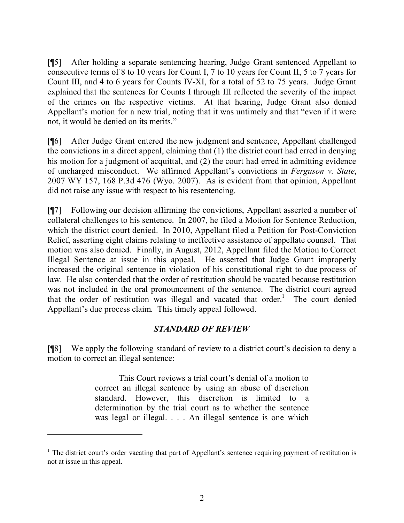[¶5] After holding a separate sentencing hearing, Judge Grant sentenced Appellant to consecutive terms of 8 to 10 years for Count I, 7 to 10 years for Count II, 5 to 7 years for Count III, and 4 to 6 years for Counts IV-XI, for a total of 52 to 75 years. Judge Grant explained that the sentences for Counts I through III reflected the severity of the impact of the crimes on the respective victims. At that hearing, Judge Grant also denied Appellant's motion for a new trial, noting that it was untimely and that "even if it were not, it would be denied on its merits."

[¶6] After Judge Grant entered the new judgment and sentence, Appellant challenged the convictions in a direct appeal, claiming that (1) the district court had erred in denying his motion for a judgment of acquittal, and (2) the court had erred in admitting evidence of uncharged misconduct. We affirmed Appellant's convictions in *Ferguson v. State*, 2007 WY 157, 168 P.3d 476 (Wyo. 2007). As is evident from that opinion, Appellant did not raise any issue with respect to his resentencing.

[¶7] Following our decision affirming the convictions, Appellant asserted a number of collateral challenges to his sentence. In 2007, he filed a Motion for Sentence Reduction, which the district court denied. In 2010, Appellant filed a Petition for Post-Conviction Relief, asserting eight claims relating to ineffective assistance of appellate counsel. That motion was also denied. Finally, in August, 2012, Appellant filed the Motion to Correct Illegal Sentence at issue in this appeal. He asserted that Judge Grant improperly increased the original sentence in violation of his constitutional right to due process of law. He also contended that the order of restitution should be vacated because restitution was not included in the oral pronouncement of the sentence. The district court agreed that the order of restitution was illegal and vacated that order.<sup>1</sup> The court denied Appellant's due process claim. This timely appeal followed.

# *STANDARD OF REVIEW*

[¶8] We apply the following standard of review to a district court's decision to deny a motion to correct an illegal sentence:

> This Court reviews a trial court's denial of a motion to correct an illegal sentence by using an abuse of discretion standard. However, this discretion is limited to a determination by the trial court as to whether the sentence was legal or illegal. . . . An illegal sentence is one which

 $\overline{a}$ 

 $<sup>1</sup>$  The district court's order vacating that part of Appellant's sentence requiring payment of restitution is</sup> not at issue in this appeal.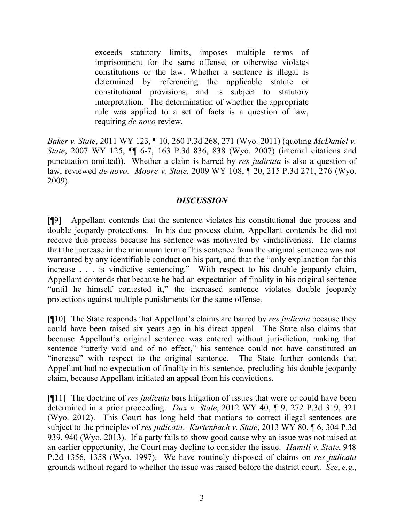exceeds statutory limits, imposes multiple terms of imprisonment for the same offense, or otherwise violates constitutions or the law. Whether a sentence is illegal is determined by referencing the applicable statute or constitutional provisions, and is subject to statutory interpretation. The determination of whether the appropriate rule was applied to a set of facts is a question of law, requiring *de novo* review.

*Baker v. State*, 2011 WY 123, ¶ 10, 260 P.3d 268, 271 (Wyo. 2011) (quoting *McDaniel v. State*, 2007 WY 125, ¶¶ 6-7, 163 P.3d 836, 838 (Wyo. 2007) (internal citations and punctuation omitted)). Whether a claim is barred by *res judicata* is also a question of law, reviewed *de novo*. *Moore v. State*, 2009 WY 108, ¶ 20, 215 P.3d 271, 276 (Wyo. 2009).

## *DISCUSSION*

[¶9] Appellant contends that the sentence violates his constitutional due process and double jeopardy protections. In his due process claim, Appellant contends he did not receive due process because his sentence was motivated by vindictiveness. He claims that the increase in the minimum term of his sentence from the original sentence was not warranted by any identifiable conduct on his part, and that the "only explanation for this increase . . . is vindictive sentencing." With respect to his double jeopardy claim, Appellant contends that because he had an expectation of finality in his original sentence "until he himself contested it," the increased sentence violates double jeopardy protections against multiple punishments for the same offense.

[¶10] The State responds that Appellant's claims are barred by *res judicata* because they could have been raised six years ago in his direct appeal. The State also claims that because Appellant's original sentence was entered without jurisdiction, making that sentence "utterly void and of no effect," his sentence could not have constituted an "increase" with respect to the original sentence. The State further contends that Appellant had no expectation of finality in his sentence, precluding his double jeopardy claim, because Appellant initiated an appeal from his convictions.

[¶11] The doctrine of *res judicata* bars litigation of issues that were or could have been determined in a prior proceeding. *Dax v. State*, 2012 WY 40, ¶ 9, 272 P.3d 319, 321 (Wyo. 2012). This Court has long held that motions to correct illegal sentences are subject to the principles of *res judicata*. *Kurtenbach v. State*, 2013 WY 80, ¶ 6, 304 P.3d 939, 940 (Wyo. 2013).If a party fails to show good cause why an issue was not raised at an earlier opportunity, the Court may decline to consider the issue. *Hamill v. State*, 948 P.2d 1356, 1358 (Wyo. 1997). We have routinely disposed of claims on *res judicata* grounds without regard to whether the issue was raised before the district court. *See*, *e.g.*,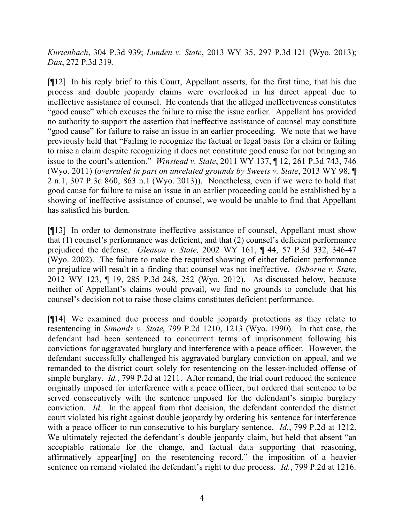*Kurtenbach*, 304 P.3d 939; *Lunden v. State*, 2013 WY 35, 297 P.3d 121 (Wyo. 2013); *Dax*, 272 P.3d 319.

[¶12] In his reply brief to this Court, Appellant asserts, for the first time, that his due process and double jeopardy claims were overlooked in his direct appeal due to ineffective assistance of counsel. He contends that the alleged ineffectiveness constitutes "good cause" which excuses the failure to raise the issue earlier. Appellant has provided no authority to support the assertion that ineffective assistance of counsel may constitute "good cause" for failure to raise an issue in an earlier proceeding. We note that we have previously held that "Failing to recognize the factual or legal basis for a claim or failing to raise a claim despite recognizing it does not constitute good cause for not bringing an issue to the court's attention." *Winstead v. State*, 2011 WY 137, ¶ 12, 261 P.3d 743, 746 (Wyo. 2011) (*overruled in part on unrelated grounds by Sweets v. State*, 2013 WY 98, ¶ 2 n.1, 307 P.3d 860, 863 n.1 (Wyo. 2013)). Nonetheless, even if we were to hold that good cause for failure to raise an issue in an earlier proceeding could be established by a showing of ineffective assistance of counsel, we would be unable to find that Appellant has satisfied his burden.

[¶13] In order to demonstrate ineffective assistance of counsel, Appellant must show that (1) counsel's performance was deficient, and that (2) counsel's deficient performance prejudiced the defense. *Gleason v. State,* 2002 WY 161, ¶ 44, 57 P.3d 332, 346-47 (Wyo. 2002). The failure to make the required showing of either deficient performance or prejudice will result in a finding that counsel was not ineffective. *Osborne v. State*, 2012 WY 123, ¶ 19, 285 P.3d 248, 252 (Wyo. 2012). As discussed below, because neither of Appellant's claims would prevail, we find no grounds to conclude that his counsel's decision not to raise those claims constitutes deficient performance.

[¶14] We examined due process and double jeopardy protections as they relate to resentencing in *Simonds v. State*, 799 P.2d 1210, 1213 (Wyo. 1990). In that case, the defendant had been sentenced to concurrent terms of imprisonment following his convictions for aggravated burglary and interference with a peace officer. However, the defendant successfully challenged his aggravated burglary conviction on appeal, and we remanded to the district court solely for resentencing on the lesser-included offense of simple burglary. *Id.*, 799 P.2d at 1211. After remand, the trial court reduced the sentence originally imposed for interference with a peace officer, but ordered that sentence to be served consecutively with the sentence imposed for the defendant's simple burglary conviction. *Id.* In the appeal from that decision, the defendant contended the district court violated his right against double jeopardy by ordering his sentence for interference with a peace officer to run consecutive to his burglary sentence. *Id.*, 799 P.2d at 1212. We ultimately rejected the defendant's double jeopardy claim, but held that absent "an acceptable rationale for the change, and factual data supporting that reasoning, affirmatively appear[ing] on the resentencing record," the imposition of a heavier sentence on remand violated the defendant's right to due process. *Id.*, 799 P.2d at 1216.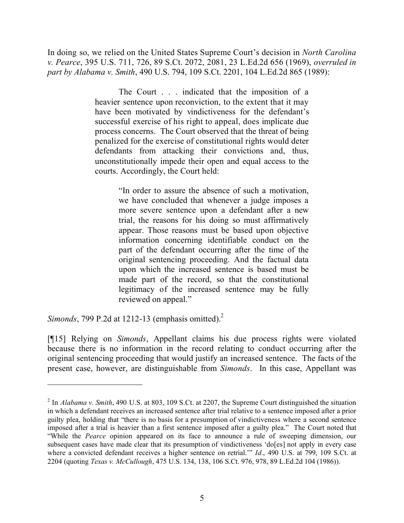In doing so, we relied on the United States Supreme Court's decision in *North Carolina v. Pearce*, 395 U.S. 711, 726, 89 S.Ct. 2072, 2081, 23 L.Ed.2d 656 (1969), *overruled in part by Alabama v. Smith*, 490 U.S. 794, 109 S.Ct. 2201, 104 L.Ed.2d 865 (1989):

> The Court . . . indicated that the imposition of a heavier sentence upon reconviction, to the extent that it may have been motivated by vindictiveness for the defendant's successful exercise of his right to appeal, does implicate due process concerns. The Court observed that the threat of being penalized for the exercise of constitutional rights would deter defendants from attacking their convictions and, thus, unconstitutionally impede their open and equal access to the courts. Accordingly, the Court held:

> > "In order to assure the absence of such a motivation, we have concluded that whenever a judge imposes a more severe sentence upon a defendant after a new trial, the reasons for his doing so must affirmatively appear. Those reasons must be based upon objective information concerning identifiable conduct on the part of the defendant occurring after the time of the original sentencing proceeding. And the factual data upon which the increased sentence is based must be made part of the record, so that the constitutional legitimacy of the increased sentence may be fully reviewed on appeal."

*Simonds*, 799 P.2d at 1212-13 (emphasis omitted). 2

[¶15] Relying on *Simonds*, Appellant claims his due process rights were violated because there is no information in the record relating to conduct occurring after the original sentencing proceeding that would justify an increased sentence. The facts of the present case, however, are distinguishable from *Simonds*. In this case, Appellant was

<sup>&</sup>lt;sup>2</sup> In *Alabama v. Smith*, 490 U.S. at 803, 109 S.Ct. at 2207, the Supreme Court distinguished the situation in which a defendant receives an increased sentence after trial relative to a sentence imposed after a prior guilty plea, holding that "there is no basis for a presumption of vindictiveness where a second sentence imposed after a trial is heavier than a first sentence imposed after a guilty plea." The Court noted that "While the *Pearce* opinion appeared on its face to announce a rule of sweeping dimension, our subsequent cases have made clear that its presumption of vindictiveness 'do[es] not apply in every case where a convicted defendant receives a higher sentence on retrial." *Id.*, 490 U.S. at 799, 109 S.Ct. at 2204 (quoting *Texas v. McCullough*, 475 U.S. 134, 138, 106 S.Ct. 976, 978, 89 L.Ed.2d 104 (1986)).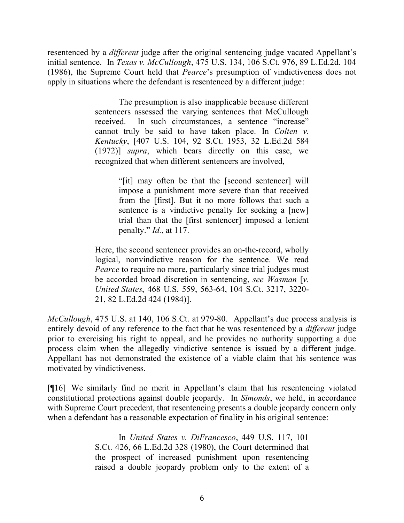resentenced by a *different* judge after the original sentencing judge vacated Appellant's initial sentence. In *Texas v. McCullough*, 475 U.S. 134, 106 S.Ct. 976, 89 L.Ed.2d. 104 (1986), the Supreme Court held that *Pearce*'s presumption of vindictiveness does not apply in situations where the defendant is resentenced by a different judge:

> The presumption is also inapplicable because different sentencers assessed the varying sentences that McCullough received. In such circumstances, a sentence "increase" cannot truly be said to have taken place. In *Colten v. Kentucky*, [407 U.S. 104, 92 S.Ct. 1953, 32 L.Ed.2d 584 (1972)] *supra*, which bears directly on this case, we recognized that when different sentencers are involved,

> > "[it] may often be that the [second sentencer] will impose a punishment more severe than that received from the [first]. But it no more follows that such a sentence is a vindictive penalty for seeking a [new] trial than that the [first sentencer] imposed a lenient penalty." *Id.*, at 117.

Here, the second sentencer provides an on-the-record, wholly logical, nonvindictive reason for the sentence. We read *Pearce* to require no more, particularly since trial judges must be accorded broad discretion in sentencing, *see Wasman* [*v. United States*, 468 U.S. 559, 563-64, 104 S.Ct. 3217, 3220- 21, 82 L.Ed.2d 424 (1984)].

*McCullough*, 475 U.S. at 140, 106 S.Ct. at 979-80.Appellant's due process analysis is entirely devoid of any reference to the fact that he was resentenced by a *different* judge prior to exercising his right to appeal, and he provides no authority supporting a due process claim when the allegedly vindictive sentence is issued by a different judge. Appellant has not demonstrated the existence of a viable claim that his sentence was motivated by vindictiveness.

[¶16] We similarly find no merit in Appellant's claim that his resentencing violated constitutional protections against double jeopardy. In *Simonds*, we held, in accordance with Supreme Court precedent, that resentencing presents a double jeopardy concern only when a defendant has a reasonable expectation of finality in his original sentence:

> In *United States v. DiFrancesco*, 449 U.S. 117, 101 S.Ct. 426, 66 L.Ed.2d 328 (1980), the Court determined that the prospect of increased punishment upon resentencing raised a double jeopardy problem only to the extent of a